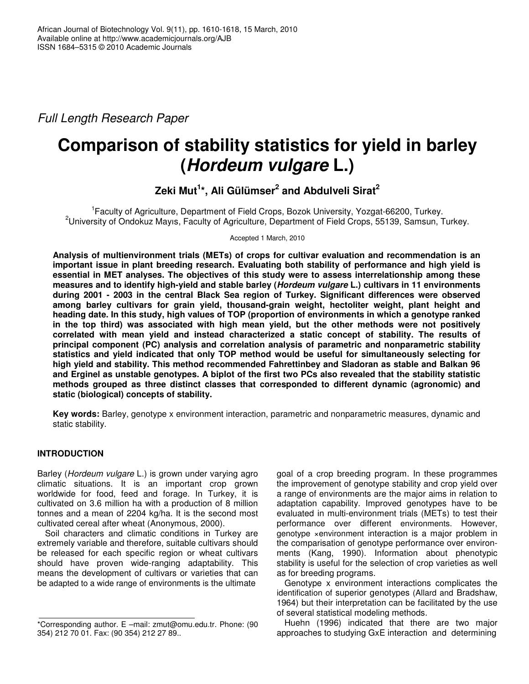*Full Length Research Paper*

# **Comparison of stability statistics for yield in barley (***Hordeum vulgare* **L.)**

**Zeki Mut 1 \*, Ali Gülümser 2 and Abdulveli Sirat 2**

<sup>1</sup> Faculty of Agriculture, Department of Field Crops, Bozok University, Yozgat-66200, Turkey. <sup>2</sup>University of Ondokuz Mayıs, Faculty of Agriculture, Department of Field Crops, 55139, Samsun, Turkey.

Accepted 1 March, 2010

**Analysis of multienvironment trials (METs) of crops for cultivar evaluation and recommendation is an important issue in plant breeding research. Evaluating both stability of performance and high yield is essential in MET analyses. The objectives of this study were to assess interrelationship among these measures and to identify high-yield and stable barley (***Hordeum vulgare* **L.) cultivars in 11 environments during 2001 - 2003 in the central Black Sea region of Turkey. Significant differences were observed among barley cultivars for grain yield, thousand-grain weight, hectoliter weight, plant height and heading date. In this study, high values of TOP (proportion of environments in which a genotype ranked in the top third) was associated with high mean yield, but the other methods were not positively correlated with mean yield and instead characterized a static concept of stability. The results of principal component (PC) analysis and correlation analysis of parametric and nonparametric stability statistics and yield indicated that only TOP method would be useful for simultaneously selecting for high yield and stability. This method recommended Fahrettinbey and Sladoran as stable and Balkan 96** and Erginel as unstable genotypes. A biplot of the first two PCs also revealed that the stability statistic **methods grouped as three distinct classes that corresponded to different dynamic (agronomic) and static (biological) concepts of stability.**

**Key words:** Barley, genotype x environment interaction, parametric and nonparametric measures, dynamic and static stability.

# **INTRODUCTION**

Barley (*Hordeum vulgare* L.) is grown under varying agro climatic situations. It is an important crop grown worldwide for food, feed and forage. In Turkey, it is cultivated on 3.6 million ha with a production of 8 million tonnes and a mean of 2204 kg/ha. It is the second most cultivated cereal after wheat (Anonymous, 2000).

Soil characters and climatic conditions in Turkey are extremely variable and therefore, suitable cultivars should be released for each specific region or wheat cultivars should have proven wide-ranging adaptability. This means the development of cultivars or varieties that can be adapted to a wide range of environments is the ultimate

goal of a crop breeding program. In these programmes the improvement of genotype stability and crop yield over a range of environments are the major aims in relation to adaptation capability. Improved genotypes have to be evaluated in multi-environment trials (METs) to test their performance over different environments. However, genotype ×environment interaction is a major problem in the comparisation of genotype performance over environments (Kang, 1990). Information about phenotypic stability is useful for the selection of crop varieties as well as for breeding programs.

Genotype x environment interactions complicates the identification of superior genotypes (Allard and Bradshaw, 1964) but their interpretation can be facilitated by the use of several statistical modeling methods.

Huehn (1996) indicated that there are two major approaches to studying GxE interaction and determining

<sup>\*</sup>Corresponding author. E –mail: zmut@omu.edu.tr. Phone: (90 354) 212 70 01. Fax: (90 354) 212 27 89..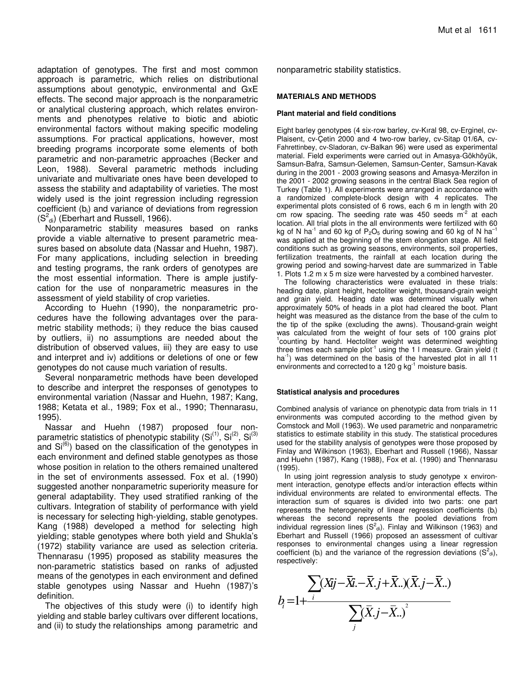adaptation of genotypes. The first and most common approach is parametric, which relies on distributional assumptions about genotypic, environmental and GxE effects. The second major approach is the nonparametric or analytical clustering approach, which relates environments and phenotypes relative to biotic and abiotic environmental factors without making specific modeling assumptions. For practical applications, however, most breeding programs incorporate some elements of both parametric and non-parametric approaches (Becker and Leon, 1988). Several parametric methods including univariate and multivariate ones have been developed to assess the stability and adaptability of varieties. The most widely used is the joint regression including regression coefficient (bi) and variance of deviations from regression  $(S^2_{\text{di}})$  (Eberhart and Russell, 1966).

Nonparametric stability measures based on ranks provide a viable alternative to present parametric measures based on absolute data (Nassar and Huehn, 1987). For many applications, including selection in breeding and testing programs, the rank orders of genotypes are the most essential information. There is ample justifycation for the use of nonparametric measures in the assessment of yield stability of crop varieties.

According to Huehn (1990), the nonparametric procedures have the following advantages over the parametric stability methods; i) they reduce the bias caused by outliers, ii) no assumptions are needed about the distribution of observed values, iii) they are easy to use and interpret and iv) additions or deletions of one or few genotypes do not cause much variation of results.

Several nonparametric methods have been developed to describe and interpret the responses of genotypes to environmental variation (Nassar and Huehn, 1987; Kang, 1988; Ketata et al., 1989; Fox et al., 1990; Thennarasu, 1995).

Nassar and Huehn (1987) proposed four nonparametric statistics of phenotypic stability (Si<sup>(1)</sup>, Si<sup>(2)</sup>, Si<sup>(3)</sup> and Si<sup>(6)</sup>) based on the classification of the genotypes in each environment and defined stable genotypes as those whose position in relation to the others remained unaltered in the set of environments assessed. Fox et al. (1990) suggested another nonparametric superiority measure for general adaptability. They used stratified ranking of the cultivars. Integration of stability of performance with yield is necessary for selecting high-yielding, stable genotypes. Kang (1988) developed a method for selecting high yielding; stable genotypes where both yield and Shukla's (1972) stability variance are used as selection criteria. Thennarasu (1995) proposed as stability measures the non-parametric statistics based on ranks of adjusted means of the genotypes in each environment and defined stable genotypes using Nassar and Huehn (1987)'s definition.

The objectives of this study were (i) to identify high yielding and stable barley cultivars over different locations, and (ii) to study the relationships among parametric and nonparametric stability statistics.

### **MATERIALS AND METHODS**

#### **Plant material and field conditions**

Eight barley genotypes (4 six-row barley, cv-Kıral 98, cv-Erginel, cv-Plaisent, cv-Çetin 2000 and 4 two-row barley, cv-Sitap 01/6A, cv-Fahrettinbey, cv-Sladoran, cv-Balkan 96) were used as experimental material. Field experiments were carried out in Amasya-Gökhöyük, Samsun-Bafra, Samsun-Gelemen, Samsun-Center, Samsun-Kavak during in the 2001 - 2003 growing seasons and Amasya-Merzifon in the 2001 - 2002 growing seasons in the central Black Sea region of Turkey (Table 1). All experiments were arranged in accordance with a randomized complete-block design with 4 replicates. The experimental plots consisted of 6 rows, each 6 m in length with 20 cm row spacing. The seeding rate was 450 seeds  $m^2$  at each location. All trial plots in the all environments were fertilized with 60 kg of N ha<sup>-1</sup> and 60 kg of P<sub>2</sub>O<sub>5</sub> during sowing and 60 kg of N ha<sup>-1</sup> was applied at the beginning of the stem elongation stage. All field conditions such as growing seasons, environments, soil properties, fertilization treatments, the rainfall at each location during the growing period and sowing-harvest date are summarized in Table 1. Plots 1.2 m x 5 m size were harvested by a combined harvester.

The following characteristics were evaluated in these trials: heading date, plant height, hectoliter weight, thousand-grain weight and grain yield. Heading date was determined visually when approximately 50% of heads in a plot had cleared the boot. Plant height was measured as the distance from the base of the culm to the tip of the spike (excluding the awns). Thousand-grain weight was calculated from the weight of four sets of 100 grains plot <sup>1</sup>counting by hand. Hectoliter weight was determined weighting three times each sample plot<sup>-1</sup> using the 1 I measure. Grain yield (t ha<sup>-1</sup>) was determined on the basis of the harvested plot in all 11 environments and corrected to a 120 g  $kg^{-1}$  moisture basis.

#### **Statistical analysis and procedures**

Combined analysis of variance on phenotypic data from trials in 11 environments was computed according to the method given by Comstock and Moll (1963). We used parametric and nonparametric statistics to estimate stability in this study. The statistical procedures used for the stability analysis of genotypes were those proposed by Finlay and Wilkinson (1963), Eberhart and Russell (1966), Nassar and Huehn (1987), Kang (1988), Fox et al. (1990) and Thennarasu (1995).

In using joint regression analysis to study genotype x environment interaction, genotype effects and/or interaction effects within individual environments are related to environmental effects. The interaction sum of squares is divided into two parts: one part represents the heterogeneity of linear regression coefficients  $(b<sub>i</sub>)$ whereas the second represents the pooled deviations from individual regression lines  $(S^2_{\text{ di}})$ . Finlay and Wilkinson (1963) and Eberhart and Russell (1966) proposed an assessment of cultivar responses to environmental changes using a linear regression coefficient (b<sub>i</sub>) and the variance of the regression deviations ( $S^2$ <sub>di</sub>), respectively:

$$
b_i = 1 + \frac{\sum (Xij - \bar{X} \cdot \bar{X} \cdot j + \bar{X} \cdot \cdot)(\bar{X} \cdot j - \bar{X} \cdot \cdot)}{\sum_j (\bar{X} \cdot j - \bar{X} \cdot \cdot)^2}
$$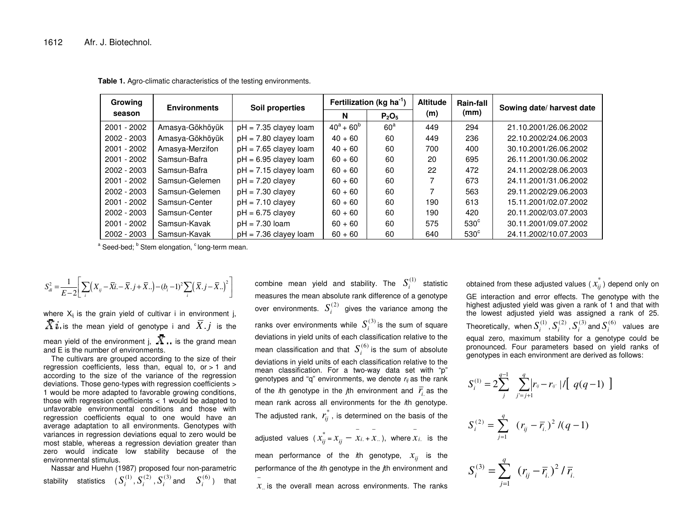| Growing       | <b>Environments</b> | Soil properties         |               | Fertilization (kg ha <sup>-1</sup> ) | <b>Altitude</b> | Rain-fall   | Sowing date/ harvest date |  |
|---------------|---------------------|-------------------------|---------------|--------------------------------------|-----------------|-------------|---------------------------|--|
| season        |                     |                         | N             | $P_2O_5$                             | (m)             | (mm)        |                           |  |
| 2001 - 2002   | Amasya-Gökhöyük     | $pH = 7.35$ clayey loam | $40^a + 60^b$ | $60^a$                               | 449             | 294         | 21.10.2001/26.06.2002     |  |
| $2002 - 2003$ | Amasya-Gökhöyük     | $pH = 7.80$ clayey loam | $40 + 60$     | 60                                   | 449             | 236         | 22.10.2002/24.06.2003     |  |
| 2001 - 2002   | Amasya-Merzifon     | $pH = 7.65$ clayey loam | $40 + 60$     | 60                                   | 700             | 400         | 30.10.2001/26.06.2002     |  |
| 2001 - 2002   | Samsun-Bafra        | $pH = 6.95$ clayey loam | $60 + 60$     | 60                                   | 20              | 695         | 26.11.2001/30.06.2002     |  |
| $2002 - 2003$ | Samsun-Bafra        | $pH = 7.15$ clayey loam | $60 + 60$     | 60                                   | 22              | 472         | 24.11.2002/28.06.2003     |  |
| $2001 - 2002$ | Samsun-Gelemen      | $pH = 7.20$ clavey      | $60 + 60$     | 60                                   |                 | 673         | 24.11.2001/31.06.2002     |  |
| 2002 - 2003   | Samsun-Gelemen      | $pH = 7.30$ clayey      | $60 + 60$     | 60                                   |                 | 563         | 29.11.2002/29.06.2003     |  |
| $2001 - 2002$ | Samsun-Center       | $pH = 7.10$ clavey      | $60 + 60$     | 60                                   | 190             | 613         | 15.11.2001/02.07.2002     |  |
| $2002 - 2003$ | Samsun-Center       | $pH = 6.75$ clayey      | $60 + 60$     | 60                                   | 190             | 420         | 20.11.2002/03.07.2003     |  |
| 2001 - 2002   | Samsun-Kavak        | $pH = 7.30$ loam        | $60 + 60$     | 60                                   | 575             | $530^\circ$ | 30.11.2001/09.07.2002     |  |
| 2002 - 2003   | Samsun-Kavak        | $pH = 7.36$ clavey loam | $60 + 60$     | 60                                   | 640             | $530^\circ$ | 24.11.2002/10.07.2003     |  |

**Table 1.** Agro-climatic characteristics of the testing environments.

<sup>a</sup> Seed-bed; <sup>b</sup> Stem elongation, <sup>c</sup> long-term mean.

$$
S_{di}^{2} = \frac{1}{E-2} \bigg[ \sum_{i} (X_{ij} - \overline{X}i - \overline{X}j + \overline{X}..) - (b_{i} - 1)^{2} \sum_{i} (\overline{X} \cdot j - \overline{X}..)^{2} \bigg]
$$

where  $X_{ij}$  is the grain yield of cultivar i in environment j, is the mean yield of genotype i and  $X.j$  is the mean yield of the environment j,  $\Lambda$  is the grand mean and E is the number of environments.

The cultivars are grouped according to the size of their regression coefficients, less than, equal to,  $or > 1$  and according to the size of the variance of the regression deviations. Those geno-types with regression coefficients <sup>&</sup>gt; 1 would be more adapted to favorable growing conditions, those with regression coefficients <sup>&</sup>lt; 1 would be adapted to unfavorable environmental conditions and those with regression coefficients equal to one would have an average adaptation to all environments. Genotypes with variances in regression deviations equal to zero would be most stable, whereas <sup>a</sup> regression deviation greater than zero would indicate low stability because of the environmental stimulus.

Nassar and Huehn (1987) proposed four non-parametric stability statistics  $(\,S^{(1)}_i,S^{(2)}_i,S^{(3)}_i\,$  and  $\,S^{(6)}_i\,)$  that

combine mean yield and stability. The  $S_i^{(1)}$  statistic measures the mean absolute rank difference of <sup>a</sup> genotype over environments.  $S_i^{(2)}$  gives the variance among the ranks over environments while  $S_i^{(3)}$  is the sum of square deviations in yield units of each classification relative to the mean classification and that  $\, S^{(6)}_i$  is the sum of absolute deviations in yield units of each classification relative to the mean classification. For <sup>a</sup> two-way data set with "p" genotypes and "q" environments, we denote *rij* as the rank of the *i*th genotype in the *j*th environment and  $r_{\tilde{t}}$  as the mean rank across all environments for the *i*th genotype. The adjusted rank,  $r_{ij}^*$  , is determined on the basis of the

adjusted values ( $x_{ij}^* = x_{ij}^* = x_{i.} + x_{..}$  $x_{\ldots}$ ), where  $x_i$  is the

−

mean performance of the *i*th genotype,  $x_{_{ij}}$  is the performance of the *i*th genotype in the *j*th environment and

 $x_{\cdot}$  is the overall mean across environments. The ranks

obtained from these adjusted values (  $\tilde{x_{ij}}^*$  ) depend only on GE interaction and error effects. The genotype with the highest adjusted yield was given <sup>a</sup> rank of 1 and that with the lowest adjusted yield was assigned <sup>a</sup> rank of 25. Theoretically, when  $S_i^{(1)}$  ,  $S_i^{(2)}$  ,  $S_i^{(3)}$  and  $S_i^{(6)}$  values are equal zero, maximum stability for <sup>a</sup> genotype could be pronounced. Four parameters based on yield ranks of genotypes in each environment are derived as follows:

$$
S_i^{(1)} = 2 \sum_{j}^{q-1} \sum_{j'=j+1}^{q} \left| r_{ij} - r_{ij} \right| / \left[ q(q-1) \right]
$$

$$
S_i^{(2)} = \sum_{j=1}^q (r_{ij} - \overline{r}_{i.})^2 / (q-1)
$$

$$
S_i^{(3)} = \sum_{j=1}^q (r_{ij} - \overline{r}_{i.})^2 / \overline{r}_{i}
$$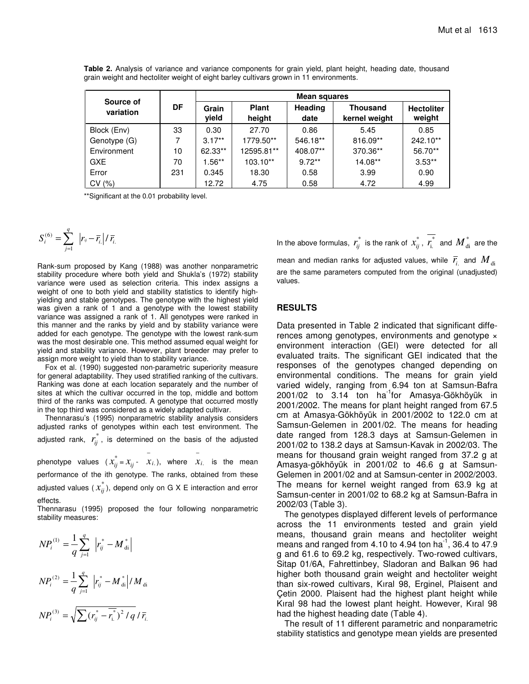| Source of    |     | Mean squares   |                        |                 |                                  |                             |  |  |  |  |
|--------------|-----|----------------|------------------------|-----------------|----------------------------------|-----------------------------|--|--|--|--|
| variation    | DF  | Grain<br>yield | <b>Plant</b><br>height | Heading<br>date | <b>Thousand</b><br>kernel weight | <b>Hectoliter</b><br>weight |  |  |  |  |
| Block (Env)  | 33  | 0.30           | 27.70                  | 0.86            | 5.45                             | 0.85                        |  |  |  |  |
| Genotype (G) |     | $3.17**$       | 1779.50**              | 546.18**        | 816.09**                         | 242.10**                    |  |  |  |  |
| Environment  | 10  | 62.33**        | 12595.81**             | 408.07**        | 370.36**                         | 56.70**                     |  |  |  |  |
| <b>GXE</b>   | 70  | $1.56**$       | $103.10**$             | $9.72**$        | 14.08**                          | $3.53**$                    |  |  |  |  |
| Error        | 231 | 0.345          | 18.30                  | 0.58            | 3.99                             | 0.90                        |  |  |  |  |
| CV(%)        |     | 12.72          | 4.75                   | 0.58            | 4.72                             | 4.99                        |  |  |  |  |

**Table 2.** Analysis of variance and variance components for grain yield, plant height, heading date, thousand grain weight and hectoliter weight of eight barley cultivars grown in 11 environments.

\*\*Significant at the 0.01 probability level.

$$
S_i^{(6)} = \sum_{j=1}^q \left| r_{ij} - \overline{r}_{i.} \right| / \overline{r}_{i.}
$$

Rank-sum proposed by Kang (1988) was another nonparametric stability procedure where both yield and Shukla's (1972) stability variance were used as selection criteria. This index assigns a weight of one to both yield and stability statistics to identify highyielding and stable genotypes. The genotype with the highest yield was given a rank of 1 and a genotype with the lowest stability variance was assigned a rank of 1. All genotypes were ranked in this manner and the ranks by yield and by stability variance were added for each genotype. The genotype with the lowest rank-sum was the most desirable one. This method assumed equal weight for yield and stability variance. However, plant breeder may prefer to assign more weight to yield than to stability variance.

Fox et al. (1990) suggested non-parametric superiority measure for general adaptability. They used stratified ranking of the cultivars. Ranking was done at each location separately and the number of sites at which the cultivar occurred in the top, middle and bottom third of the ranks was computed. A genotype that occurred mostly in the top third was considered as a widely adapted cultivar.

Thennarasu's (1995) nonparametric stability analysis considers adjusted ranks of genotypes within each test environment. The adjusted rank,  $r_{ii}^*$  $r_{ij}^*$  , is determined on the basis of the adjusted

phenotype values ( $x_{ii}^*$  $x_{ij}^* = x_{ij}$  -  $\overline{x_i}$ , where  $\overline{x_i}$ is the mean performance of the ith genotype. The ranks, obtained from these adjusted values (  $x_{ii}^*$  $x_{ij}^*$  ), depend only on G X E interaction and error effects.

Thennarasu (1995) proposed the four following nonparametric stability measures:

$$
NP_i^{(1)} = \frac{1}{q} \sum_{j=1}^{q} |r_{ij}^* - M_{di}^*|
$$

$$
NP_i^{(2)} = \frac{1}{q} \sum_{j=1}^{q} |r_{ij}^* - M_{di}^*| / M_{di}
$$
  

$$
NP_i^{(3)} = \sqrt{\sum (r_{ij}^* - \overline{r_{i.}}^*)^2 / q} / \overline{r_{i.}}
$$

\*\* \*\* \*\*

In the above formulas,  $r_{ii}^*$  $r_{ij}^*$  is the rank of  $x_{ij}^*$  $x_{ij}^*$ ,  $r_{i.}^*$  $r_{\rm i.}^*$  and  $\overline{M}_{\rm di}^*$  are the mean and median ranks for adjusted values, while  $\bar{r}_{\rm i}^{\phantom{\dag}}$  and  $\overline{M}_{\rm di}$ are the same parameters computed from the original (unadjusted) values.

## **RESULTS**

Data presented in Table 2 indicated that significant differences among genotypes, environments and genotype  $\times$ environment interaction (GEI) were detected for all evaluated traits. The significant GEI indicated that the responses of the genotypes changed depending on environmental conditions. The means for grain yield varied widely, ranging from 6.94 ton at Samsun-Bafra 2001/02 to 3.14 ton ha<sup>-1</sup>for Amasya-Gökhöyük in 2001/2002. The means for plant height ranged from 67.5 cm at Amasya-Gökhöyük in 2001/2002 to 122.0 cm at Samsun-Gelemen in 2001/02. The means for heading date ranged from 128.3 days at Samsun-Gelemen in 2001/02 to 138.2 days at Samsun-Kavak in 2002/03. The means for thousand grain weight ranged from 37.2 g at Amasya-gökhöyük in 2001/02 to 46.6 g at Samsun-Gelemen in 2001/02 and at Samsun-center in 2002/2003. The means for kernel weight ranged from 63.9 kg at Samsun-center in 2001/02 to 68.2 kg at Samsun-Bafra in 2002/03 (Table 3).

The genotypes displayed different levels of performance across the 11 environments tested and grain yield means, thousand grain means and hectoliter weight means and ranged from 4.10 to 4.94 ton ha<sup>-1</sup>, 36.4 to 47.9 g and 61.6 to 69.2 kg, respectively. Two-rowed cultivars, Sitap 01/6A, Fahrettinbey, Sladoran and Balkan 96 had higher both thousand grain weight and hectoliter weight than six-rowed cultivars, Kıral 98, Erginel, Plaisent and Çetin 2000. Plaisent had the highest plant height while Kıral 98 had the lowest plant height. However, Kıral 98 had the highest heading date (Table 4).

The result of 11 different parametric and nonparametric stability statistics and genotype mean yields are presented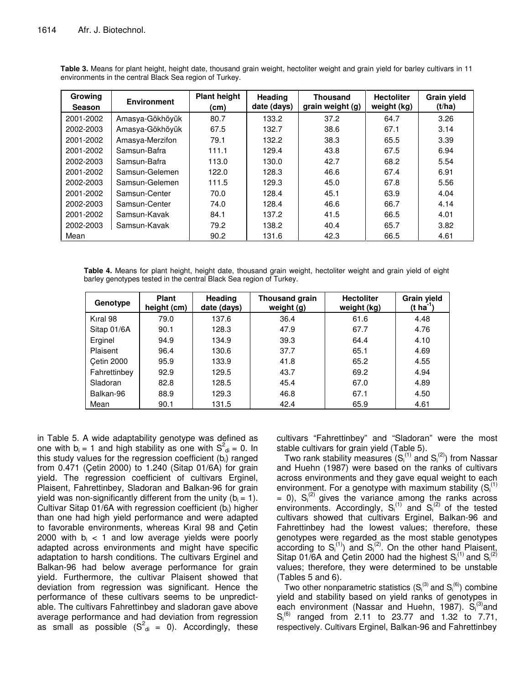| <b>Growing</b><br><b>Season</b> | <b>Environment</b> | <b>Plant height</b><br>(cm) | Heading<br>date (days) | <b>Thousand</b><br>grain weight (g) | <b>Hectoliter</b><br>weight (kg) | <b>Grain yield</b><br>(t/ha) |
|---------------------------------|--------------------|-----------------------------|------------------------|-------------------------------------|----------------------------------|------------------------------|
| 2001-2002                       | Amasya-Gökhöyük    | 80.7                        | 133.2                  | 37.2                                | 64.7                             | 3.26                         |
| 2002-2003                       | Amasya-Gökhöyük    | 67.5                        | 132.7                  | 38.6                                | 67.1                             | 3.14                         |
| 2001-2002                       | Amasya-Merzifon    | 79.1                        | 132.2                  | 38.3                                | 65.5                             | 3.39                         |
| 2001-2002                       | Samsun-Bafra       | 111.1                       | 129.4                  | 43.8                                | 67.5                             | 6.94                         |
| 2002-2003                       | Samsun-Bafra       | 113.0                       | 130.0                  | 42.7                                | 68.2                             | 5.54                         |
| 2001-2002                       | Samsun-Gelemen     | 122.0                       | 128.3                  | 46.6                                | 67.4                             | 6.91                         |
| 2002-2003                       | Samsun-Gelemen     | 111.5                       | 129.3                  | 45.0                                | 67.8                             | 5.56                         |
| 2001-2002                       | Samsun-Center      | 70.0                        | 128.4                  | 45.1                                | 63.9                             | 4.04                         |
| 2002-2003                       | Samsun-Center      | 74.0                        | 128.4                  | 46.6                                | 66.7                             | 4.14                         |
| 2001-2002                       | Samsun-Kavak       | 84.1                        | 137.2                  | 41.5                                | 66.5                             | 4.01                         |
| 2002-2003                       | Samsun-Kavak       | 79.2                        | 138.2                  | 40.4                                | 65.7                             | 3.82                         |
| Mean                            |                    | 90.2                        | 131.6                  | 42.3                                | 66.5                             | 4.61                         |

**Table 3.** Means for plant height, height date, thousand grain weight, hectoliter weight and grain yield for barley cultivars in 11 environments in the central Black Sea region of Turkey.

**Table 4.** Means for plant height, height date, thousand grain weight, hectoliter weight and grain yield of eight barley genotypes tested in the central Black Sea region of Turkey.

| Genotype     | <b>Plant</b><br>height (cm) | <b>Heading</b><br>date (days) | Thousand grain<br>weight (g) | <b>Hectoliter</b><br>weight (kg) | <b>Grain yield</b><br>$(t \text{ ha}^{-1})$ |
|--------------|-----------------------------|-------------------------------|------------------------------|----------------------------------|---------------------------------------------|
| Kıral 98     | 79.0                        | 137.6                         | 36.4                         | 61.6                             | 4.48                                        |
| Sitap 01/6A  | 90.1                        | 128.3                         | 47.9                         | 67.7                             | 4.76                                        |
| Erginel      | 94.9                        | 134.9                         | 39.3                         | 64.4                             | 4.10                                        |
| Plaisent     | 96.4                        | 130.6                         | 37.7                         | 65.1                             | 4.69                                        |
| Cetin 2000   | 95.9                        | 133.9                         | 41.8                         | 65.2                             | 4.55                                        |
| Fahrettinbey | 92.9                        | 129.5                         | 43.7                         | 69.2                             | 4.94                                        |
| Sladoran     | 82.8                        | 128.5                         | 45.4                         | 67.0                             | 4.89                                        |
| Balkan-96    | 88.9                        | 129.3                         | 46.8                         | 67.1                             | 4.50                                        |
| Mean         | 90.1                        | 131.5                         | 42.4                         | 65.9                             | 4.61                                        |

in Table 5. A wide adaptability genotype was defined as one with  $b_i = 1$  and high stability as one with  $S^2_{\text{di}} = 0$ . In this study values for the regression coefficient  $(b<sub>i</sub>)$  ranged from 0.471 (Çetin 2000) to 1.240 (Sitap 01/6A) for grain yield. The regression coefficient of cultivars Erginel, Plaisent, Fahrettinbey, Sladoran and Balkan-96 for grain yield was non-significantly different from the unity ( $b_i = 1$ ). Cultivar Sitap 01/6A with regression coefficient ( $b_i$ ) higher than one had high yield performance and were adapted to favorable environments, whereas Kıral 98 and Çetin 2000 with  $b_i < 1$  and low average yields were poorly adapted across environments and might have specific adaptation to harsh conditions. The cultivars Erginel and Balkan-96 had below average performance for grain yield. Furthermore, the cultivar Plaisent showed that deviation from regression was significant. Hence the performance of these cultivars seems to be unpredictable. The cultivars Fahrettinbey and sladoran gave above average performance and had deviation from regression as small as possible  $(S^2_{\text{di}} = 0)$ . Accordingly, these

cultivars "Fahrettinbey" and "Sladoran" were the most stable cultivars for grain yield (Table 5).

Two rank stability measures  $(S_i^{(1)}$  and  $S_i^{(2)})$  from Nassar and Huehn (1987) were based on the ranks of cultivars across environments and they gave equal weight to each environment. For a genotype with maximum stability  $(S_i^{(1)})$  $= 0$ ),  $S_i^{(2)}$  gives the variance among the ranks across environments. Accordingly,  $S_i^{(1)}$  and  $S_i^{(2)}$  of the tested cultivars showed that cultivars Erginel, Balkan-96 and Fahrettinbey had the lowest values; therefore, these genotypes were regarded as the most stable genotypes according to  $S_i^{(1)}$ ) and  $S_i^{(2)}$ . On the other hand Plaisent, Sitap 01/6A and Çetin 2000 had the highest  $S_i^{(1)}$  and  $S_i^{(2)}$ values; therefore, they were determined to be unstable (Tables 5 and 6).

Two other nonparametric statistics  $(S_i^{(3)}$  and  $S_i^{(6)}$ ) combine yield and stability based on yield ranks of genotypes in each environment (Nassar and Huehn, 1987). Si<sup>(3)</sup>and  $S_i^{(6)}$  ranged from 2.11 to 23.77 and 1.32 to 7.71, respectively. Cultivars Erginel, Balkan-96 and Fahrettinbey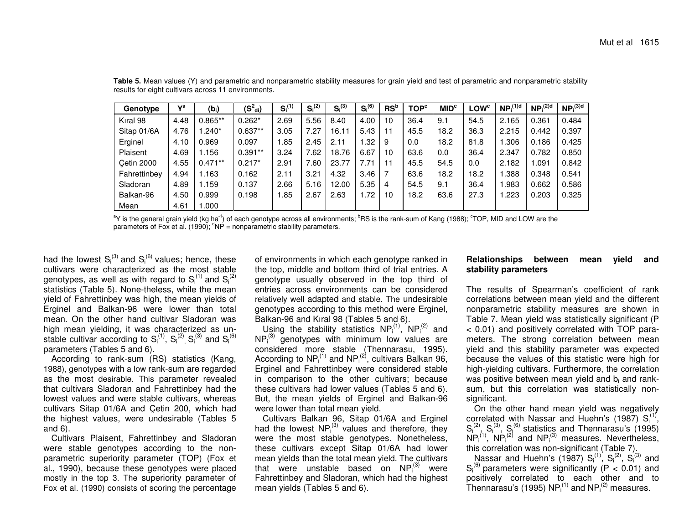| Genotype          | va   | $(b_i)$   | $(S^2_{\text{di}})$ | $S_i^{(1)}$ | $S_i^{(2)}$ | $S_i^{(3)}$ | $S_i^{(6)}$ | $\text{RS}^{\text{b}}$ | <b>TOP<sup>c</sup></b> | MID <sup>c</sup> | <b>LOW<sup>c</sup></b> | NP <sub>i</sub> <sup>(1)d</sup> | NP <sub>i</sub> <sup>(2)d</sup> | NP <sub>i</sub> <sup>(3)d</sup> |
|-------------------|------|-----------|---------------------|-------------|-------------|-------------|-------------|------------------------|------------------------|------------------|------------------------|---------------------------------|---------------------------------|---------------------------------|
| Kıral 98          | 4.48 | $0.865**$ | $0.262*$            | 2.69        | 5.56        | 8.40        | 4.00        | 10                     | 36.4                   | 9.1              | 54.5                   | 2.165                           | 0.361                           | 0.484                           |
| Sitap 01/6A       | 4.76 | *240. ا   | $0.637**$           | 3.05        | 7.27        | 16.11       | 5.43        | -11                    | 45.5                   | 18.2             | 36.3                   | 2.215                           | 0.442                           | 0.397                           |
| Erginel           | 4.10 | 0.969     | 0.097               | .85         | 2.45        | 2.11        | 1.32        | 9                      | 0.0                    | 18.2             | 81.8                   | .306                            | 0.186                           | 0.425                           |
| Plaisent          | 4.69 | 1.156     | $0.391**$           | 3.24        | 7.62        | 18.76       | 6.67        | 10                     | 63.6                   | 0.0              | 36.4                   | 2.347                           | 0.782                           | 0.850                           |
| <b>Cetin 2000</b> | 4.55 | $0.471**$ | $0.217*$            | 2.91        | 7.60        | 23.77       | 7.71        | $-11$                  | 45.5                   | 54.5             | 0.0                    | 2.182                           | 091.ا                           | 0.842                           |
| Fahrettinbey      | 4.94 | 1.163     | 0.162               | 2.11        | 3.21        | 4.32        | 3.46        |                        | 63.6                   | 18.2             | 18.2                   | 388.                            | 0.348                           | 0.541                           |
| Sladoran          | 4.89 | 1.159     | 0.137               | 2.66        | 5.16        | 12.00       | 5.35        | 4                      | 54.5                   | 9.1              | 36.4                   | .983                            | 0.662                           | 0.586                           |
| Balkan-96         | 4.50 | 0.999     | 0.198               | .85         | 2.67        | 2.63        | 1.72        | 10                     | 18.2                   | 63.6             | 27.3                   | 1.223                           | 0.203                           | 0.325                           |
| Mean              | 4.61 | 1.000     |                     |             |             |             |             |                        |                        |                  |                        |                                 |                                 |                                 |

**Table 5.** Mean values (Y) and parametric and nonparametric stability measures for grain yield and test of parametric and nonparametric stability results for eight cultivars across 11 environments.

aY is the general grain yield (kg ha<sup>-1</sup>) of each genotype across all environments; <sup>b</sup>RS is the rank-sum of Kang (1988); °TOP, MID and LOW are the parameters of Fox et al. (1990);  $^d$ NP = nonparametric stability parameters.

had the lowest  $S_i^{(3)}$  and  $S_i^{(6)}$  values; hence, these cultivars were characterized as the most stable genotypes, as well as with regard to  $S_i^{(1)}$  and  $S_i^{(2)}$ statistics (Table 5). None-theless, while the mean yield of Fahrettinbey was high, the mean yields of Erginel and Balkan-96 were lower than total mean. On the other hand cultivar Sladoran was high mean yielding, it was characterized as unstable cultivar according to  $S_i^{(1)}$ ,  $S_i^{(2)}$ ,  $S_i^{(3)}$  and  $S_i^{(6)}$ parameters (Tables 5 and 6).

According to rank-sum (RS) statistics (Kang, 1988), genotypes with <sup>a</sup> low rank-sum are regarded as the most desirable. This parameter revealed that cultivars Sladoran and Fahrettinbey had the lowest values and were stable cultivars, whereas cultivars Sitap 01/6A and Çetin 200, which had the highest values, were undesirable (Tables 5 and 6).

Cultivars Plaisent, Fahrettinbey and Sladoran were stable genotypes according to the nonparametric superiority parameter (TOP) (Fox et al., 1990), because these genotypes were placed mostly in the top 3. The superiority parameter of Fox et al. (1990) consists of scoring the percentage

of environments in which each genotype ranked in the top, middle and bottom third of trial entries. A genotype usually observed in the top third of entries across environments can be considered relatively well adapted and stable. The undesirable genotypes according to this method were Erginel, Balkan-96 and Kıral 98 (Tables 5 and 6).

Using the stability statistics  $NP_i^{(1)}$ ,  $NP_i^{(2)}$  and  $NP_i^{(3)}$  genotypes with minimum low values are considered more stable (Thennarasu, 1995). According to  $NP_i^{(1)}$  and  $NP_i^{(2)}$ , cultivars Balkan 96, Erginel and Fahrettinbey were considered stable in comparison to the other cultivars; because these cultivars had lower values (Tables 5 and 6). But, the mean yields of Erginel and Balkan-96 were lower than total mean yield.

Cultivars Balkan 96, Sitap 01/6A and Erginel had the lowest NP $^{(3)}_1$  values and therefore, they were the most stable genotypes. Nonetheless, these cultivars except Sitap 01/6A had lower mean yields than the total mean yield. The cultivars that were unstable based on  $NP_i^{(3)}$  were Fahrettinbey and Sladoran, which had the highest mean yields (Tables 5 and 6).

# **Relationships between mean yield and stability parameters**

The results of Spearman's coefficient of rank correlations between mean yield and the different nonparametric stability measures are shown in Table 7. Mean yield was statistically significant (P < 0.01) and positively correlated with TOP parameters. The strong correlation between mean yield and this stability parameter was expected because the values of this statistic were high for high-yielding cultivars. Furthermore, the correlation was positive between mean yield and b<sub>i</sub> and ranksum, but this correlation was statistically nonsignificant.

On the other hand mean yield was negatively correlated with Nassar and Huehn's (1987)  $S_i^{(1)}$ ,  $S_i^{(2)}$ ,  $S_i^{(3)}$ ,  $S_i^{(6)}$  statistics and Thennarasu's (1995)  $NP_i^{(1)}$ ,  $NP_i^{(2)}$  and  $NP_i^{(3)}$  measures. Nevertheless, this correlation was non-significant (Table 7).

Nassar and Huehn's (1987)  $S_i^{(1)}$ ,  $S_i^{(2)}$ ,  $S_i^{(3)}$  and  $S_i^{(6)}$  parameters were significantly (P < 0.01) and positively correlated to each other and to Thennarasu's (1995) NP $_i^{(1)}$  and NP $_i^{(2)}$  measures.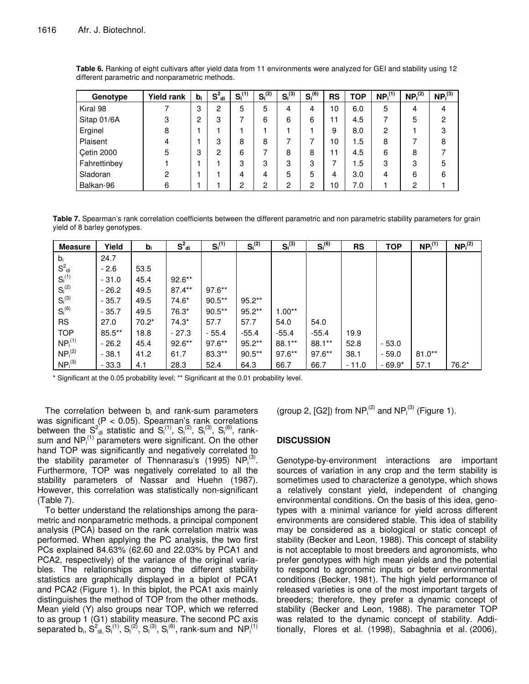| Genotype          | <b>Yield rank</b> | $b_i$ | $S^2_{\text{di}}$ | $S_i^{(1)}$ | $S_i^{(2)}$ | $S_i^{(3)}$ | $S_i^{(6)}$ | <b>RS</b> | <b>TOP</b> | NP <sub>i</sub> <sup>(1)</sup> | NP <sub>i</sub> <sup>(2)</sup> | NP <sub>i</sub> <sup>(3)</sup> |
|-------------------|-------------------|-------|-------------------|-------------|-------------|-------------|-------------|-----------|------------|--------------------------------|--------------------------------|--------------------------------|
| Kıral 98          |                   | 3     | 2                 | 5           | 5           | 4           | 4           | 10        | 6.0        | 5                              | 4                              | 4                              |
| Sitap 01/6A       | 3                 | 2     | 3                 | 7           | 6           | 6           | 6           | 11        | 4.5        |                                | 5                              | $\overline{2}$                 |
| Erginel           | 8                 |       |                   |             |             |             |             | 9         | 8.0        | 2                              |                                | 3                              |
| Plaisent          | 4                 |       | 3                 | 8           | 8           |             |             | 10        | 1.5        | 8                              |                                | 8                              |
| <b>Cetin 2000</b> | 5                 | 3     | 2                 | 6           |             | 8           | 8           | 11        | 4.5        | 6                              | 8                              |                                |
| Fahrettinbey      |                   |       |                   | 3           | 3           | 3           | 3           | 7         | 1.5        | 3                              | 3                              | 5                              |
| Sladoran          | 2                 |       |                   | 4           | 4           | 5           | 5           | 4         | 3.0        | 4                              | 6                              | 6                              |
| Balkan-96         | 6                 |       |                   | 2           | 0           | っ           | o<br>⊂      | 10        | 7.0        |                                | 2                              |                                |

**Table 6.** Ranking of eight cultivars after yield data from 11 environments were analyzed for GEI and stability using 12 different parametric and nonparametric methods.

**Table 7.** Spearman's rank correlation coefficients between the different parametric and non parametric stability parameters for grain yield of 8 barley genotypes.

| <b>Measure</b>                 | Yield    | $b_i$   | $S^2_{\text{di}}$ | $S_i^{(1)}$ | $S_i^{(2)}$ | $S_i^{(3)}$ | $S_i^{(6)}$ | <b>RS</b> | <b>TOP</b> | NP <sub>i</sub> <sup>(1)</sup> | NP <sub>i</sub> <sup>(2)</sup> |
|--------------------------------|----------|---------|-------------------|-------------|-------------|-------------|-------------|-----------|------------|--------------------------------|--------------------------------|
| $b_i$                          | 24.7     |         |                   |             |             |             |             |           |            |                                |                                |
| $S^2_{\text{di}}$              | $-2.6$   | 53.5    |                   |             |             |             |             |           |            |                                |                                |
| $S_i^{(1)}$                    | $-31.0$  | 45.4    | $92.6**$          |             |             |             |             |           |            |                                |                                |
| $S_i^{(2)}$                    | $-26.2$  | 49.5    | $87.4**$          | $97.6***$   |             |             |             |           |            |                                |                                |
| $S_i^{(3)}$                    | $-35.7$  | 49.5    | $74.6*$           | $90.5***$   | $95.2**$    |             |             |           |            |                                |                                |
| $S_i^{(6)}$                    | $-35.7$  | 49.5    | $76.3*$           | $90.5***$   | $95.2**$    | $1.00**$    |             |           |            |                                |                                |
| <b>RS</b>                      | 27.0     | $70.2*$ | $74.3*$           | 57.7        | 57.7        | 54.0        | 54.0        |           |            |                                |                                |
| <b>TOP</b>                     | $85.5**$ | 18.8    | $-27.3$           | $-55.4$     | $-55.4$     | $-55.4$     | $-55.4$     | 19.9      |            |                                |                                |
| NP <sub>i</sub> <sup>(1)</sup> | $-26.2$  | 45.4    | $92.6***$         | $97.6***$   | $95.2**$    | $88.1**$    | $88.1**$    | 52.8      | $-53.0$    |                                |                                |
| NP <sub>i</sub> <sup>(2)</sup> | $-38.1$  | 41.2    | 61.7              | $83.3**$    | $90.5***$   | $97.6***$   | $97.6**$    | 38.1      | $-59.0$    | $81.0**$                       |                                |
| NP <sub>i</sub> <sup>(3)</sup> | $-33.3$  | 4.1     | 28.3              | 52.4        | 64.3        | 66.7        | 66.7        | $-11.0$   | $-69.9*$   | 57.1                           | $76.2*$                        |

\* Significant at the 0.05 probability level; \*\* Significant at the 0.01 probability level.

The correlation between  $b_i$  and rank-sum parameters was significant  $(P < 0.05)$ . Spearman's rank correlations between the  $S^2_{\text{di}}$  statistic and  $S_i^{(1)}$ ,  $S_i^{(2)}$ ,  $S_i^{(3)}$ ,  $S_i^{(6)}$ , ranksum and  $NP_i^{(1)}$  parameters were significant. On the other hand TOP was significantly and negatively correlated to the stability parameter of Thennarasu's (1995)  $NP_i^{(3)}$ . Furthermore, TOP was negatively correlated to all the stability parameters of Nassar and Huehn (1987). However, this correlation was statistically non-significant (Table 7).

To better understand the relationships among the parametric and nonparametric methods, a principal component analysis (PCA) based on the rank correlation matrix was performed. When applying the PC analysis, the two first PCs explained 84.63% (62.60 and 22.03% by PCA1 and PCA2, respectively) of the variance of the original variables. The relationships among the different stability statistics are graphically displayed in a biplot of PCA1 and PCA2 (Figure 1). In this biplot, the PCA1 axis mainly distinguishes the method of TOP from the other methods. Mean yield (Y) also groups near TOP, which we referred to as group 1 (G1) stability measure. The second PC axis separated b<sub>i</sub>,  $S^2_{\text{di}} S^{(1)}_{\text{i}}, S^{(2)}_{\text{i}}, S^{(3)}_{\text{i}}, S^{(6)}_{\text{i}},$  rank-sum and  $\text{NP}^{(1)}_{\text{i}}$ 

(group 2, [G2]) from  $NP_i^{(2)}$  and  $NP_i^{(3)}$  (Figure 1).

## **DISCUSSION**

Genotype-by-environment interactions are important sources of variation in any crop and the term stability is sometimes used to characterize a genotype, which shows a relatively constant yield, independent of changing environmental conditions. On the basis of this idea, genotypes with a minimal variance for yield across different environments are considered stable. This idea of stability may be considered as a biological or static concept of stability (Becker and Leon, 1988). This concept of stability is not acceptable to most breeders and agronomists, who prefer genotypes with high mean yields and the potential to respond to agronomic inputs or beter environmental conditions (Becker, 1981). The high yield performance of released varieties is one of the most important targets of breeders; therefore, they prefer a dynamic concept of stability (Becker and Leon, 1988). The parameter TOP was related to the dynamic concept of stability. Additionally, Flores et al. (1998), Sabaghnia et al. (2006),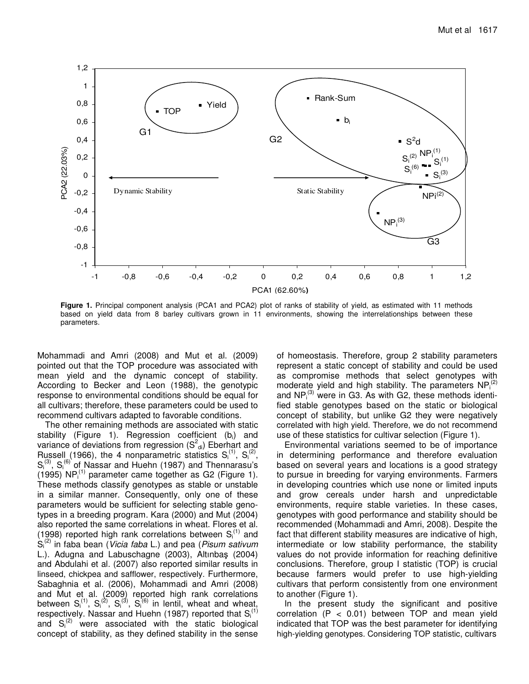

**Figure 1.** Principal component analysis (PCA1 and PCA2) plot of ranks of stability of yield, as estimated with 11 methods based on yield data from 8 barley cultivars grown in 11 environments, showing the interrelationships between these parameters.

Mohammadi and Amri (2008) and Mut et al. (2009) pointed out that the TOP procedure was associated with mean yield and the dynamic concept of stability. According to Becker and Leon (1988), the genotypic response to environmental conditions should be equal for all cultivars; therefore, these parameters could be used to recommend cultivars adapted to favorable conditions.

The other remaining methods are associated with static stability (Figure 1). Regression coefficient (bi) and variance of deviations from regression (S $^2$ <sub>di</sub>) Eberhart and Russell (1966), the 4 nonparametric statistics  $S_i^{(1)}$ ,  $S_i^{(2)}$ ,  $S_i^{(3)}$ ,  $S_i^{(6)}$  of Nassar and Huehn (1987) and Thennarasu's (1995)  $NP_i^{(1)}$  parameter came together as G2 (Figure 1). These methods classify genotypes as stable or unstable in a similar manner. Consequently, only one of these parameters would be sufficient for selecting stable genotypes in a breeding program. Kara (2000) and Mut (2004) also reported the same correlations in wheat. Flores et al. (1998) reported high rank correlations between  $S_i^{(1)}$  and Si (2) in faba bean (*Vicia faba* L.) and pea (*Pisum sativum* L.). Adugna and Labuschagne (2003), Altınbaş (2004) and Abdulahi et al. (2007) also reported similar results in linseed, chickpea and safflower, respectively. Furthermore, Sabaghnia et al. (2006), Mohammadi and Amri (2008) and Mut et al. (2009) reported high rank correlations between  $S_i^{(1)}$ ,  $S_i^{(2)}$ ,  $S_i^{(3)}$ ,  $S_i^{(6)}$  in lentil, wheat and wheat, respectively. Nassar and Huehn (1987) reported that  $S_i^{(1)}$ and  $S_i^{(2)}$  were associated with the static biological concept of stability, as they defined stability in the sense

of homeostasis. Therefore, group 2 stability parameters represent a static concept of stability and could be used as compromise methods that select genotypes with moderate yield and high stability. The parameters  $NP_i^{(2)}$ and  $NP_i^{(3)}$  were in G3. As with G2, these methods identified stable genotypes based on the static or biological concept of stability, but unlike G2 they were negatively correlated with high yield. Therefore, we do not recommend use of these statistics for cultivar selection (Figure 1).

Environmental variations seemed to be of importance in determining performance and therefore evaluation based on several years and locations is a good strategy to pursue in breeding for varying environments. Farmers in developing countries which use none or limited inputs and grow cereals under harsh and unpredictable environments, require stable varieties. In these cases, genotypes with good performance and stability should be recommended (Mohammadi and Amri, 2008). Despite the fact that different stability measures are indicative of high, intermediate or low stability performance, the stability values do not provide information for reaching definitive conclusions. Therefore, group I statistic (TOP) is crucial because farmers would prefer to use high-yielding cultivars that perform consistently from one environment to another (Figure 1).

In the present study the significant and positive correlation  $(P < 0.01)$  between TOP and mean yield indicated that TOP was the best parameter for identifying high-yielding genotypes. Considering TOP statistic, cultivars